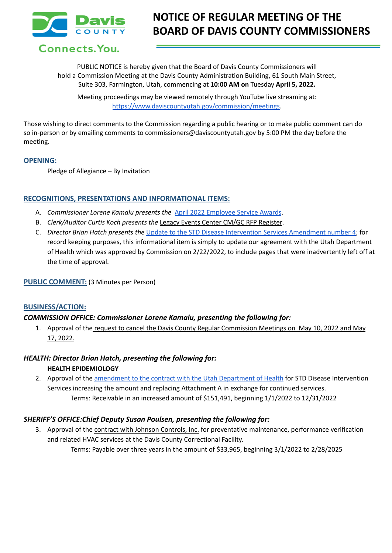

# Connects. You.

PUBLIC NOTICE is hereby given that the Board of Davis County Commissioners will hold a Commission Meeting at the Davis County Administration Building, 61 South Main Street, Suite 303, Farmington, Utah, commencing at **10:00 AM on** Tuesday **April 5, 2022.**

Meeting proceedings may be viewed remotely through YouTube live streaming at: [https://www.daviscountyutah.gov/commission/meetings.](https://www.daviscountyutah.gov/commission/meetings)

Those wishing to direct comments to the Commission regarding a public hearing or to make public comment can do so in-person or by emailing comments to commissioners@daviscountyutah.gov by 5:00 PM the day before the meeting.

## **OPENING:**

Pledge of Allegiance – By Invitation

# **RECOGNITIONS, PRESENTATIONS AND INFORMATIONAL ITEMS:**

- A. *Commissioner Lorene Kamalu presents the* April 2022 [Employee](https://drive.google.com/file/d/1UUkQEP_SoFMPqwBHVrs1132P6tcH9xxt/view?usp=sharing) Service Awards.
- B. *Clerk/Auditor Curtis Koch presents the* Legacy Events Center CM/GC RFP Register.
- C. *Director Brian Hatch presents the* Update to the STD Disease Intervention Services [Amendment](https://drive.google.com/file/d/1de3oPax2vQPHve1cEW_o5WQeAtKfyxqn/view?usp=sharing) number 4; for record keeping purposes, this informational item is simply to update our agreement with the Utah Department of Health which was approved by Commission on 2/22/2022, to include pages that were inadvertently left off at the time of approval.

# **PUBLIC COMMENT:** (3 Minutes per Person)

# **BUSINESS/ACTION:**

# *COMMISSION OFFICE: Commissioner Lorene Kamalu, presenting the following for:*

1. Approval of the request to cancel the Davis County Regular Commission Meetings on May 10, 2022 and May 17, 2022.

## *HEALTH: Director Brian Hatch, presenting the following for:* **HEALTH EPIDEMIOLOGY**

2. Approval of the [amendment](https://drive.google.com/file/d/1iyXYaXJR1OnrwWDd0oOEslueMlWJSefP/view?usp=sharing) to the contract with the Utah Department of Health for STD Disease Intervention Services increasing the amount and replacing Attachment A in exchange for continued services. Terms: Receivable in an increased amount of \$151,491, beginning 1/1/2022 to 12/31/2022

# *SHERIFF'S OFFICE:Chief Deputy Susan Poulsen, presenting the following for:*

3. Approval of the contract with Johnson Controls, Inc. for preventative maintenance, performance verification and related HVAC services at the Davis County Correctional Facility. Terms: Payable over three years in the amount of \$33,965, beginning 3/1/2022 to 2/28/2025